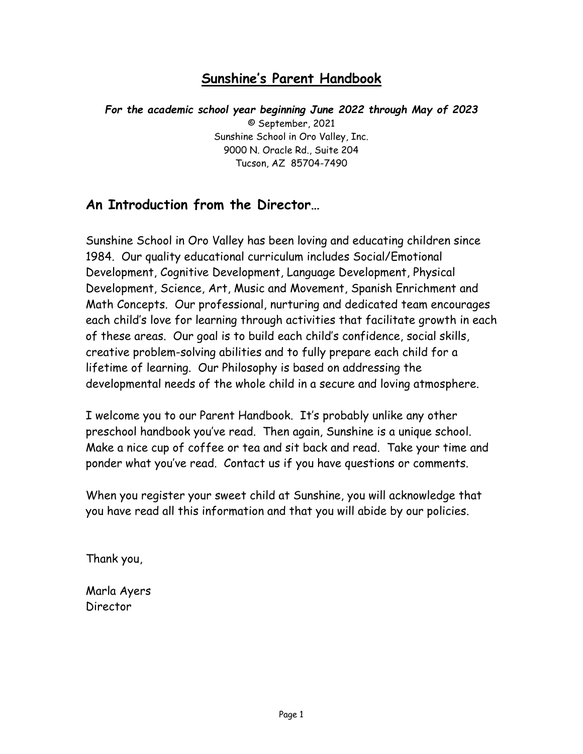# **Sunshine's Parent Handbook**

*For the academic school year beginning June 2022 through May of 2023* © September, 2021 Sunshine School in Oro Valley, Inc. 9000 N. Oracle Rd., Suite 204 Tucson, AZ 85704-7490

# **An Introduction from the Director…**

Sunshine School in Oro Valley has been loving and educating children since 1984. Our quality educational curriculum includes Social/Emotional Development, Cognitive Development, Language Development, Physical Development, Science, Art, Music and Movement, Spanish Enrichment and Math Concepts. Our professional, nurturing and dedicated team encourages each child's love for learning through activities that facilitate growth in each of these areas. Our goal is to build each child's confidence, social skills, creative problem-solving abilities and to fully prepare each child for a lifetime of learning. Our Philosophy is based on addressing the developmental needs of the whole child in a secure and loving atmosphere.

I welcome you to our Parent Handbook. It's probably unlike any other preschool handbook you've read. Then again, Sunshine is a unique school. Make a nice cup of coffee or tea and sit back and read. Take your time and ponder what you've read. Contact us if you have questions or comments.

When you register your sweet child at Sunshine, you will acknowledge that you have read all this information and that you will abide by our policies.

Thank you,

Marla Ayers Director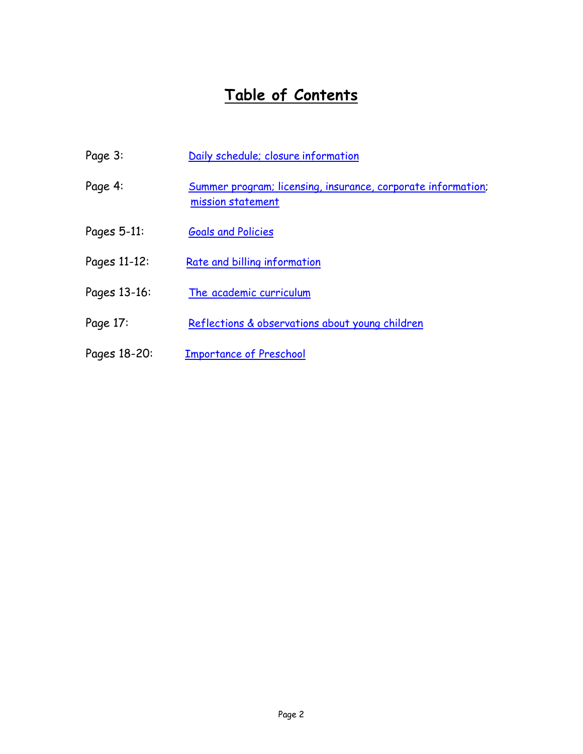# **Table of Contents**

<span id="page-1-0"></span>

| Page 3:      | Daily schedule; closure information                                               |
|--------------|-----------------------------------------------------------------------------------|
| Page 4:      | Summer program; licensing, insurance, corporate information;<br>mission statement |
| Pages 5-11:  | <b>Goals and Policies</b>                                                         |
| Pages 11-12: | Rate and billing information                                                      |
| Pages 13-16: | The academic curriculum                                                           |
| Page 17:     | Reflections & observations about young children                                   |
| Pages 18-20: | <b>Importance of Preschool</b>                                                    |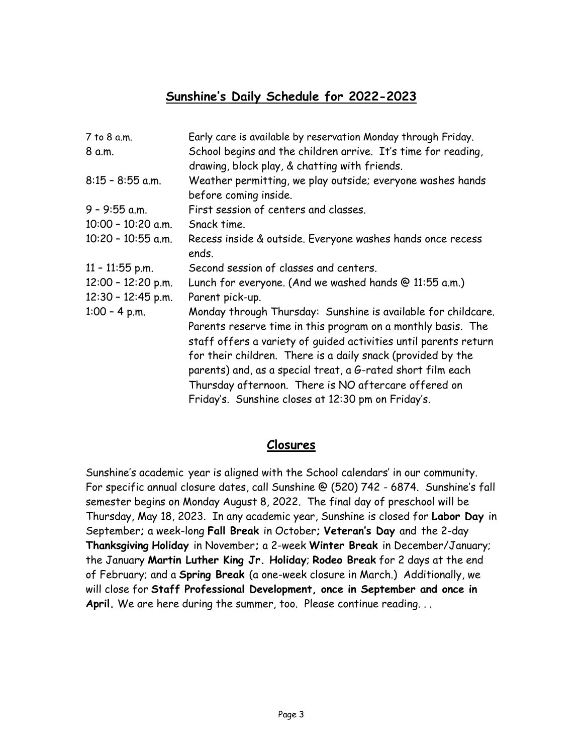# **Sunshine's Daily Schedule for 2022-2023**

| 7 to 8 a.m.          | Early care is available by reservation Monday through Friday.                                                                                                                                                                                                                                                                                                                                                                                 |
|----------------------|-----------------------------------------------------------------------------------------------------------------------------------------------------------------------------------------------------------------------------------------------------------------------------------------------------------------------------------------------------------------------------------------------------------------------------------------------|
| 8 a.m.               | School begins and the children arrive. It's time for reading,<br>drawing, block play, & chatting with friends.                                                                                                                                                                                                                                                                                                                                |
| $8:15 - 8:55$ a.m.   | Weather permitting, we play outside; everyone washes hands<br>before coming inside.                                                                                                                                                                                                                                                                                                                                                           |
| $9 - 9:55$ a.m.      | First session of centers and classes.                                                                                                                                                                                                                                                                                                                                                                                                         |
| $10:00 - 10:20$ a.m. | Snack time.                                                                                                                                                                                                                                                                                                                                                                                                                                   |
| 10:20 - 10:55 a.m.   | Recess inside & outside. Everyone washes hands once recess<br>ends.                                                                                                                                                                                                                                                                                                                                                                           |
| $11 - 11:55$ p.m.    | Second session of classes and centers.                                                                                                                                                                                                                                                                                                                                                                                                        |
| $12:00 - 12:20$ p.m. | Lunch for everyone. (And we washed hands @ 11:55 a.m.)                                                                                                                                                                                                                                                                                                                                                                                        |
| $12:30 - 12:45$ p.m. | Parent pick-up.                                                                                                                                                                                                                                                                                                                                                                                                                               |
| $1:00 - 4$ p.m.      | Monday through Thursday: Sunshine is available for childcare.<br>Parents reserve time in this program on a monthly basis. The<br>staff offers a variety of guided activities until parents return<br>for their children. There is a daily snack (provided by the<br>parents) and, as a special treat, a G-rated short film each<br>Thursday afternoon. There is NO aftercare offered on<br>Friday's. Sunshine closes at 12:30 pm on Friday's. |

# **Closures**

Sunshine's academic year is aligned with the School calendars' in our community. For specific annual closure dates, call Sunshine @ (520) 742 - 6874. Sunshine's fall semester begins on Monday August 8, 2022. The final day of preschool will be Thursday, May 18, 2023. In any academic year, Sunshine is closed for **Labor Day** in September**;** a week-long **Fall Break** in October**; Veteran's Day** and the 2-day **Thanksgiving Holiday** in November**;** a 2-week **Winter Break** in December/January; the January **Martin Luther King Jr. Holiday**; **Rodeo Break** for 2 days at the end of February; and a **Spring Break** (a one-week closure in March.) Additionally, we will close for **Staff Professional Development, once in September and once in**  April. We are here during the summer, too. Please continue reading...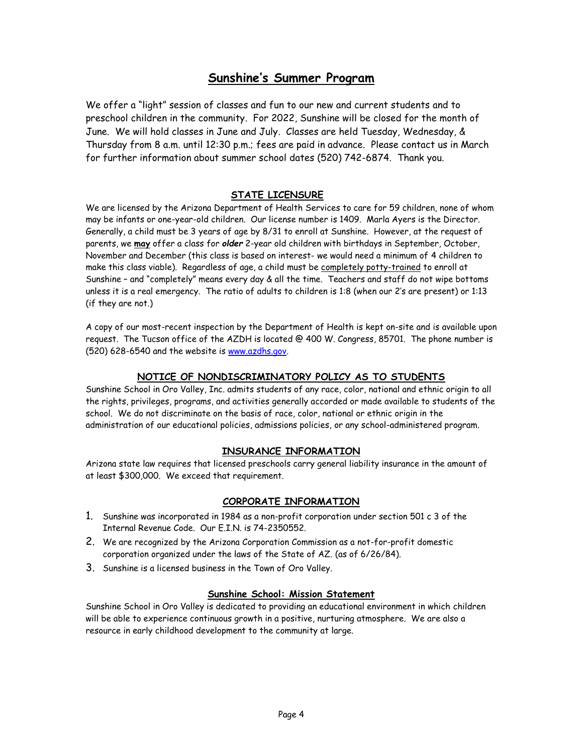# **Sunshine's Summer Program**

We offer a "light" session of classes and fun to our new and current students and to preschool children in the community. For 2022, Sunshine will be closed for the month of June. We will hold classes in June and July. Classes are held Tuesday, Wednesday, & Thursday from 8 a.m. until 12:30 p.m.; fees are paid in advance. Please contact us in March for further information about summer school dates (520) 742-6874. Thank you.

#### **STATE LICENSURE**

<span id="page-3-0"></span>We are licensed by the Arizona Department of Health Services to care for 59 children, none of whom may be infants or one-year-old children. Our license number is 1409. Marla Ayers is the Director. Generally, a child must be 3 years of age by 8/31 to enroll at Sunshine. However, at the request of parents, we **may** offer a class for *older* 2-year old children with birthdays in September, October, November and December (this class is based on interest- we would need a minimum of 4 children to make this class viable). Regardless of age, a child must be completely potty-trained to enroll at Sunshine – and "completely" means every day & all the time. Teachers and staff do not wipe bottoms unless it is a real emergency. The ratio of adults to children is 1:8 (when our 2's are present) or 1:13 (if they are not.)

A copy of our most-recent inspection by the Department of Health is kept on-site and is available upon request. The Tucson office of the AZDH is located @ 400 W. Congress, 85701. The phone number is (520) 628-6540 and the website is [www.azdhs.gov.](http://www.azdhs.gov/)

### **NOTICE OF NONDISCRIMINATORY POLICY AS TO STUDENTS**

<span id="page-3-2"></span>Sunshine School in Oro Valley, Inc. admits students of any race, color, national and ethnic origin to all the rights, privileges, programs, and activities generally accorded or made available to students of the school. We do not discriminate on the basis of race, color, national or ethnic origin in the administration of our educational policies, admissions policies, or any school-administered program.

#### **INSURANCE INFORMATION**

Arizona state law requires that licensed preschools carry general liability insurance in the amount of at least \$300,000. We exceed that requirement.

### **CORPORATE INFORMATION**

- 1. Sunshine was incorporated in 1984 as a non-profit corporation under section 501 c 3 of the Internal Revenue Code. Our E.I.N. is 74-2350552.
- 2. We are recognized by the Arizona Corporation Commission as a not-for-profit domestic corporation organized under the laws of the State of AZ. (as of 6/26/84).
- 3. Sunshine is a licensed business in the Town of Oro Valley.

#### **Sunshine School: Mission Statement**

<span id="page-3-1"></span>Sunshine School in Oro Valley is dedicated to providing an educational environment in which children will be able to experience continuous growth in a positive, nurturing atmosphere. We are also a resource in early childhood development to the community at large.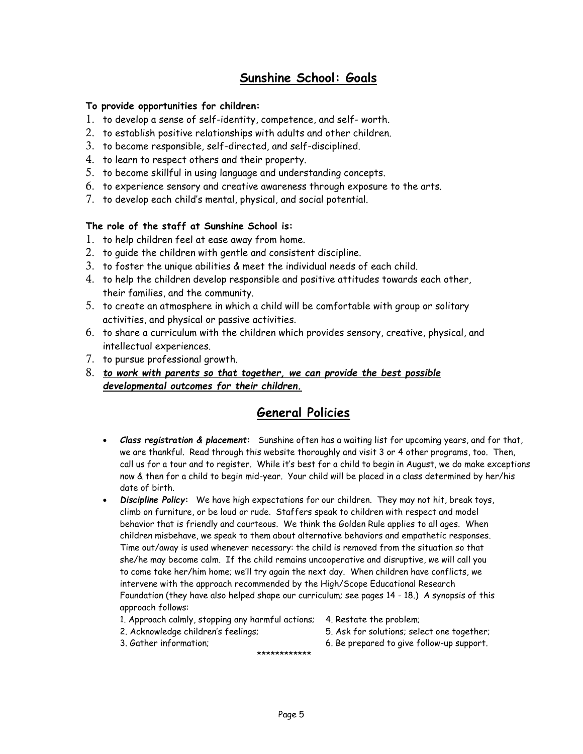# **Sunshine School: Goals**

### **To provide opportunities for children:**

- 1. to develop a sense of self-identity, competence, and self- worth.
- 2. to establish positive relationships with adults and other children.
- 3. to become responsible, self-directed, and self-disciplined.
- 4. to learn to respect others and their property.
- 5. to become skillful in using language and understanding concepts.
- 6. to experience sensory and creative awareness through exposure to the arts.
- 7. to develop each child's mental, physical, and social potential.

### **The role of the staff at Sunshine School is:**

- 1. to help children feel at ease away from home.
- 2. to guide the children with gentle and consistent discipline.
- 3. to foster the unique abilities & meet the individual needs of each child.
- 4. to help the children develop responsible and positive attitudes towards each other, their families, and the community.
- 5. to create an atmosphere in which a child will be comfortable with group or solitary activities, and physical or passive activities.
- 6. to share a curriculum with the children which provides sensory, creative, physical, and intellectual experiences.
- 7. to pursue professional growth.
- 8. *to work with parents so that together, we can provide the best possible developmental outcomes for their children.*

# **General Policies**

- *Class registration & placement***:** Sunshine often has a waiting list for upcoming years, and for that, we are thankful. Read through this website thoroughly and visit 3 or 4 other programs, too. Then, call us for a tour and to register. While it's best for a child to begin in August, we do make exceptions now & then for a child to begin mid-year. Your child will be placed in a class determined by her/his date of birth.
- *Discipline Policy***:** We have high expectations for our children. They may not hit, break toys, climb on furniture, or be loud or rude. Staffers speak to children with respect and model behavior that is friendly and courteous. We think the Golden Rule applies to all ages. When children misbehave, we speak to them about alternative behaviors and empathetic responses. Time out/away is used whenever necessary: the child is removed from the situation so that she/he may become calm. If the child remains uncooperative and disruptive, we will call you to come take her/him home; we'll try again the next day. When children have conflicts, we intervene with the approach recommended by the High/Scope Educational Research Foundation (they have also helped shape our curriculum; see pages 14 - 18.) A synopsis of this approach follows:
	- 1. Approach calmly, stopping any harmful actions; 4. Restate the problem;
		-
	-
- \*\*\*\*\*\*\*\*\*\*\*\*
- 
- 2. Acknowledge children's feelings; 5. Ask for solutions; select one together;
- 3. Gather information; 6. Be prepared to give follow-up support.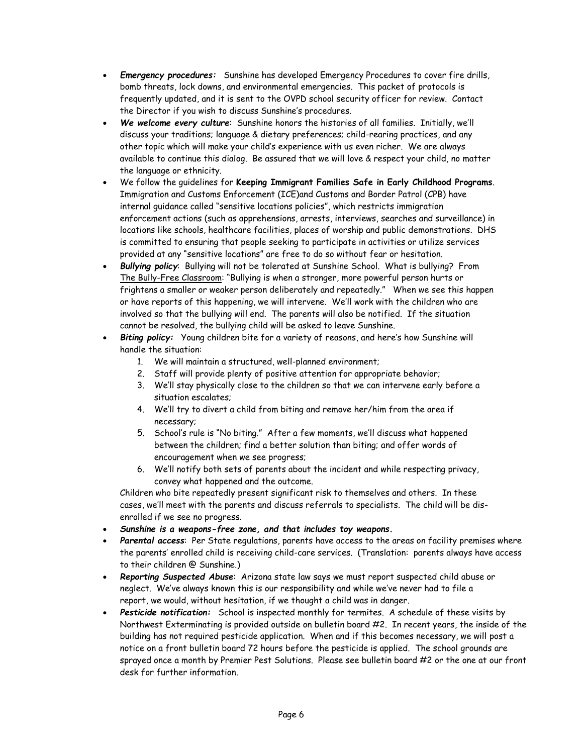- *Emergency procedures:* Sunshine has developed Emergency Procedures to cover fire drills, bomb threats, lock downs, and environmental emergencies. This packet of protocols is frequently updated, and it is sent to the OVPD school security officer for review. Contact the Director if you wish to discuss Sunshine's procedures.
- *We welcome every culture*: Sunshine honors the histories of all families. Initially, we'll discuss your traditions; language & dietary preferences; child-rearing practices, and any other topic which will make your child's experience with us even richer. We are always available to continue this dialog. Be assured that we will love & respect your child, no matter the language or ethnicity.
- We follow the guidelines for **Keeping Immigrant Families Safe in Early Childhood Programs**. Immigration and Customs Enforcement (ICE)and Customs and Border Patrol (CPB) have internal guidance called "sensitive locations policies", which restricts immigration enforcement actions (such as apprehensions, arrests, interviews, searches and surveillance) in locations like schools, healthcare facilities, places of worship and public demonstrations. DHS is committed to ensuring that people seeking to participate in activities or utilize services provided at any "sensitive locations" are free to do so without fear or hesitation.
- *Bullying policy*: Bullying will not be tolerated at Sunshine School. What is bullying? From The Bully-Free Classroom: "Bullying is when a stronger, more powerful person hurts or frightens a smaller or weaker person deliberately and repeatedly." When we see this happen or have reports of this happening, we will intervene. We'll work with the children who are involved so that the bullying will end. The parents will also be notified. If the situation cannot be resolved, the bullying child will be asked to leave Sunshine.
- Biting policy: Young children bite for a variety of reasons, and here's how Sunshine will handle the situation:
	- 1. We will maintain a structured, well-planned environment;
	- 2. Staff will provide plenty of positive attention for appropriate behavior;
	- 3. We'll stay physically close to the children so that we can intervene early before a situation escalates;
	- 4. We'll try to divert a child from biting and remove her/him from the area if necessary;
	- 5. School's rule is "No biting." After a few moments, we'll discuss what happened between the children; find a better solution than biting; and offer words of encouragement when we see progress;
	- 6. We'll notify both sets of parents about the incident and while respecting privacy, convey what happened and the outcome.

Children who bite repeatedly present significant risk to themselves and others. In these cases, we'll meet with the parents and discuss referrals to specialists. The child will be disenrolled if we see no progress.

- *Sunshine is a weapons-free zone, and that includes toy weapons.*
- *Parental access*: Per State regulations, parents have access to the areas on facility premises where the parents' enrolled child is receiving child-care services. (Translation: parents always have access to their children @ Sunshine.)
- *Reporting Suspected Abuse*: Arizona state law says we must report suspected child abuse or neglect. We've always known this is our responsibility and while we've never had to file a report, we would, without hesitation, if we thought a child was in danger.
- *Pesticide notification:* School is inspected monthly for termites. A schedule of these visits by Northwest Exterminating is provided outside on bulletin board #2. In recent years, the inside of the building has not required pesticide application. When and if this becomes necessary, we will post a notice on a front bulletin board 72 hours before the pesticide is applied. The school grounds are sprayed once a month by Premier Pest Solutions. Please see bulletin board #2 or the one at our front desk for further information.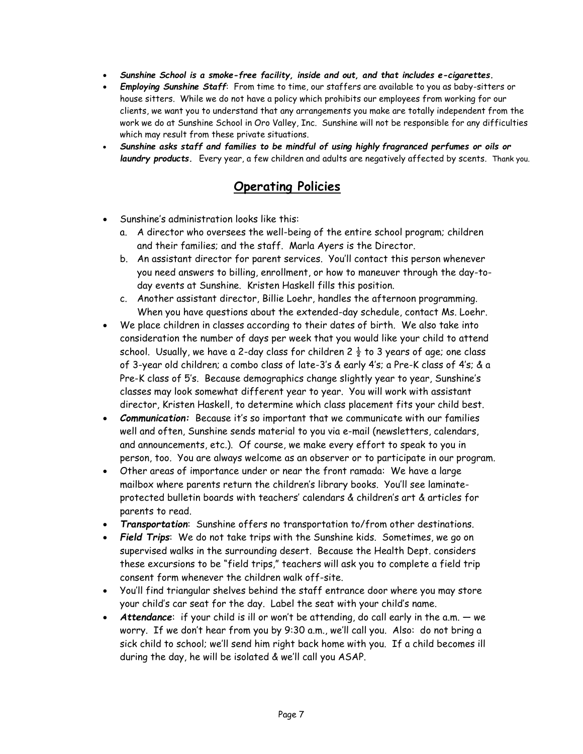- *Sunshine School is a smoke-free facility, inside and out, and that includes e-cigarettes.*
- *Employing Sunshine Staff*: From time to time, our staffers are available to you as baby-sitters or house sitters. While we do not have a policy which prohibits our employees from working for our clients, we want you to understand that any arrangements you make are totally independent from the work we do at Sunshine School in Oro Valley, Inc. Sunshine will not be responsible for any difficulties which may result from these private situations.
- *Sunshine asks staff and families to be mindful of using highly fragranced perfumes or oils or laundry products.* Every year, a few children and adults are negatively affected by scents. Thank you.

# **Operating Policies**

- Sunshine's administration looks like this:
	- a. A director who oversees the well-being of the entire school program; children and their families; and the staff. Marla Ayers is the Director.
	- b. An assistant director for parent services. You'll contact this person whenever you need answers to billing, enrollment, or how to maneuver through the day-today events at Sunshine. Kristen Haskell fills this position.
	- c. Another assistant director, Billie Loehr, handles the afternoon programming. When you have questions about the extended-day schedule, contact Ms. Loehr.
- We place children in classes according to their dates of birth. We also take into consideration the number of days per week that you would like your child to attend school. Usually, we have a 2-day class for children 2  $\frac{1}{2}$  to 3 years of age; one class of 3-year old children; a combo class of late-3's & early 4's; a Pre-K class of 4's; & a Pre-K class of 5's. Because demographics change slightly year to year, Sunshine's classes may look somewhat different year to year. You will work with assistant director, Kristen Haskell, to determine which class placement fits your child best.
- *Communication:* Because it's so important that we communicate with our families well and often, Sunshine sends material to you via e-mail (newsletters, calendars, and announcements, etc.). Of course, we make every effort to speak to you in person, too. You are always welcome as an observer or to participate in our program.
- Other areas of importance under or near the front ramada: We have a large mailbox where parents return the children's library books. You'll see laminateprotected bulletin boards with teachers' calendars & children's art & articles for parents to read.
- *Transportation*: Sunshine offers no transportation to/from other destinations.
- *Field Trips*: We do not take trips with the Sunshine kids. Sometimes, we go on supervised walks in the surrounding desert. Because the Health Dept. considers these excursions to be "field trips," teachers will ask you to complete a field trip consent form whenever the children walk off-site.
- You'll find triangular shelves behind the staff entrance door where you may store your child's car seat for the day. Label the seat with your child's name.
- *Attendance*: if your child is ill or won't be attending, do call early in the a.m. we worry. If we don't hear from you by 9:30 a.m., we'll call you. Also: do not bring a sick child to school; we'll send him right back home with you. If a child becomes ill during the day, he will be isolated & we'll call you ASAP.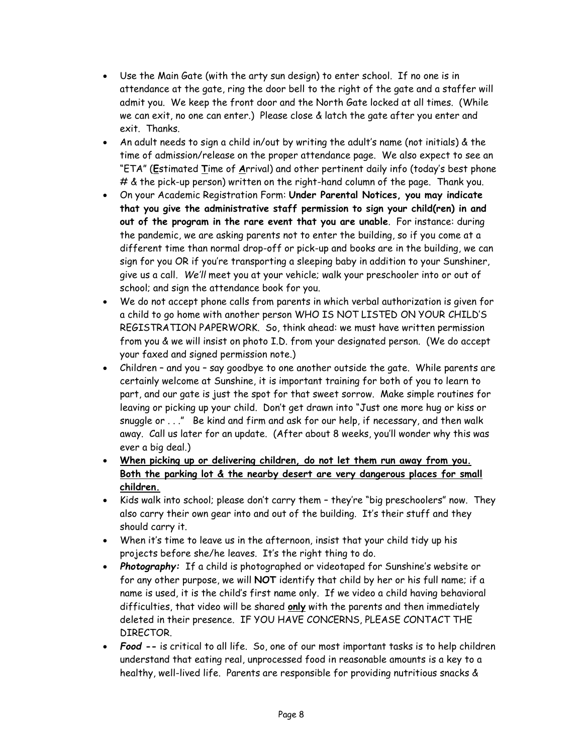- Use the Main Gate (with the arty sun design) to enter school. If no one is in attendance at the gate, ring the door bell to the right of the gate and a staffer will admit you. We keep the front door and the North Gate locked at all times. (While we can exit, no one can enter.) Please close & latch the gate after you enter and exit. Thanks.
- An adult needs to sign a child in/out by writing the adult's name (not initials) & the time of admission/release on the proper attendance page. We also expect to see an "ETA" (**E**stimated **T**ime of **A**rrival) and other pertinent daily info (today's best phone # & the pick-up person) written on the right-hand column of the page. Thank you.
- On your Academic Registration Form: **Under Parental Notices, you may indicate that you give the administrative staff permission to sign your child(ren) in and out of the program in the rare event that you are unable**. For instance: during the pandemic, we are asking parents not to enter the building, so if you come at a different time than normal drop-off or pick-up and books are in the building, we can sign for you OR if you're transporting a sleeping baby in addition to your Sunshiner, give us a call*. We'll* meet you at your vehicle; walk your preschooler into or out of school; and sign the attendance book for you.
- We do not accept phone calls from parents in which verbal authorization is given for a child to go home with another person WHO IS NOT LISTED ON YOUR CHILD'S REGISTRATION PAPERWORK. So, think ahead: we must have written permission from you & we will insist on photo I.D. from your designated person. (We do accept your faxed and signed permission note.)
- Children and you say goodbye to one another outside the gate. While parents are certainly welcome at Sunshine, it is important training for both of you to learn to part, and our gate is just the spot for that sweet sorrow. Make simple routines for leaving or picking up your child. Don't get drawn into "Just one more hug or kiss or snuggle or . . ." Be kind and firm and ask for our help, if necessary, and then walk away. Call us later for an update. (After about 8 weeks, you'll wonder why this was ever a big deal.)
- **When picking up or delivering children, do not let them run away from you. Both the parking lot & the nearby desert are very dangerous places for small children.**
- Kids walk into school; please don't carry them they're "big preschoolers" now. They also carry their own gear into and out of the building. It's their stuff and they should carry it.
- When it's time to leave us in the afternoon, insist that your child tidy up his projects before she/he leaves. It's the right thing to do.
- *Photography:* If a child is photographed or videotaped for Sunshine's website or for any other purpose, we will **NOT** identify that child by her or his full name; if a name is used, it is the child's first name only. If we video a child having behavioral difficulties, that video will be shared **only** with the parents and then immediately deleted in their presence. IF YOU HAVE CONCERNS, PLEASE CONTACT THE DIRECTOR.
- *Food* **--** is critical to all life. So, one of our most important tasks is to help children understand that eating real, unprocessed food in reasonable amounts is a key to a healthy, well-lived life. Parents are responsible for providing nutritious snacks &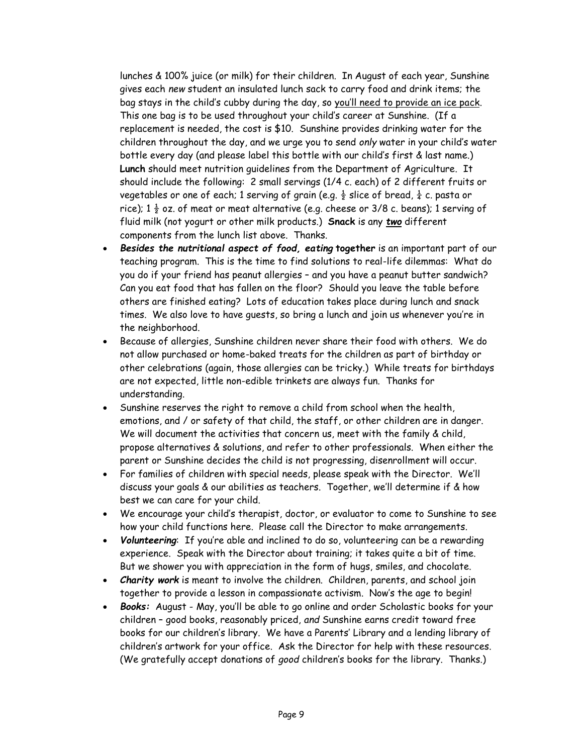lunches & 100% juice (or milk) for their children. In August of each year, Sunshine gives each *new* student an insulated lunch sack to carry food and drink items; the bag stays in the child's cubby during the day, so you'll need to provide an ice pack. This one bag is to be used throughout your child's career at Sunshine. (If a replacement is needed, the cost is \$10. Sunshine provides drinking water for the children throughout the day, and we urge you to send *only* water in your child's water bottle every day (and please label this bottle with our child's first & last name.) **Lunch** should meet nutrition guidelines from the Department of Agriculture. It should include the following: 2 small servings (1/4 c. each) of 2 different fruits or vegetables or one of each; 1 serving of grain (e.g.  $\frac{1}{2}$  slice of bread,  $\frac{1}{4}$  c. pasta or rice); 1  $\frac{1}{2}$  oz. of meat or meat alternative (e.g. cheese or 3/8 c. beans); 1 serving of fluid milk (not yogurt or other milk products.) **Snack** is any *two* different components from the lunch list above. Thanks.

- *Besides the nutritional aspect of food, eating* **together** is an important part of our teaching program. This is the time to find solutions to real-life dilemmas: What do you do if your friend has peanut allergies – and you have a peanut butter sandwich? Can you eat food that has fallen on the floor? Should you leave the table before others are finished eating? Lots of education takes place during lunch and snack times. We also love to have guests, so bring a lunch and join us whenever you're in the neighborhood.
- Because of allergies, Sunshine children never share their food with others. We do not allow purchased or home-baked treats for the children as part of birthday or other celebrations (again, those allergies can be tricky.) While treats for birthdays are not expected, little non-edible trinkets are always fun. Thanks for understanding.
- Sunshine reserves the right to remove a child from school when the health, emotions, and / or safety of that child, the staff, or other children are in danger. We will document the activities that concern us, meet with the family & child, propose alternatives & solutions, and refer to other professionals. When either the parent or Sunshine decides the child is not progressing, disenrollment will occur.
- For families of children with special needs, please speak with the Director. We'll discuss your goals & our abilities as teachers. Together, we'll determine if & how best we can care for your child.
- We encourage your child's therapist, doctor, or evaluator to come to Sunshine to see how your child functions here. Please call the Director to make arrangements.
- *Volunteering*: If you're able and inclined to do so, volunteering can be a rewarding experience. Speak with the Director about training; it takes quite a bit of time. But we shower you with appreciation in the form of hugs, smiles, and chocolate.
- *Charity work* is meant to involve the children. Children, parents, and school join together to provide a lesson in compassionate activism. Now's the age to begin!
- *Books:* August May, you'll be able to go online and order Scholastic books for your children – good books, reasonably priced, *and* Sunshine earns credit toward free books for our children's library. We have a Parents' Library and a lending library of children's artwork for your office. Ask the Director for help with these resources. (We gratefully accept donations of *good* children's books for the library. Thanks.)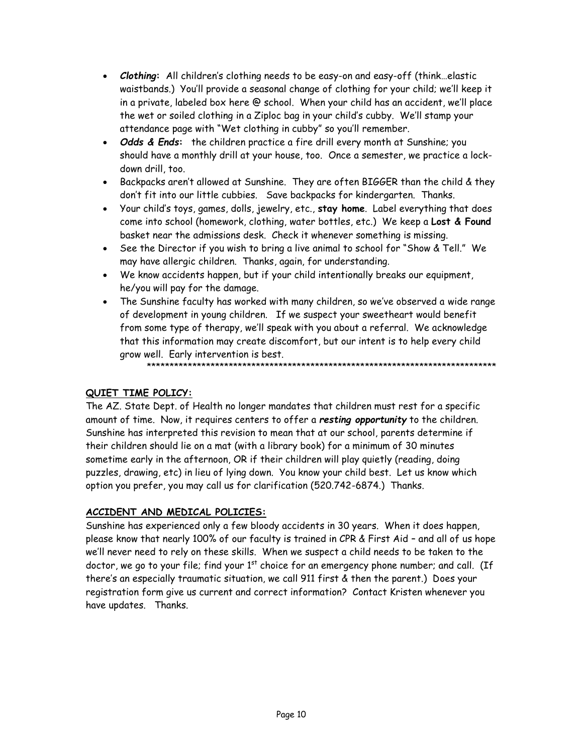- *Clothing***:** All children's clothing needs to be easy-on and easy-off (think…elastic waistbands.) You'll provide a seasonal change of clothing for your child; we'll keep it in a private, labeled box here @ school. When your child has an accident, we'll place the wet or soiled clothing in a Ziploc bag in your child's cubby. We'll stamp your attendance page with "Wet clothing in cubby" so you'll remember.
- *Odds & Ends***:** the children practice a fire drill every month at Sunshine; you should have a monthly drill at your house, too. Once a semester, we practice a lockdown drill, too.
- Backpacks aren't allowed at Sunshine. They are often BIGGER than the child & they don't fit into our little cubbies. Save backpacks for kindergarten. Thanks.
- Your child's toys, games, dolls, jewelry, etc., **stay home**. Label everything that does come into school (homework, clothing, water bottles, etc.) We keep a **Lost & Found** basket near the admissions desk. Check it whenever something is missing.
- See the Director if you wish to bring a live animal to school for "Show & Tell." We may have allergic children. Thanks, again, for understanding.
- We know accidents happen, but if your child intentionally breaks our equipment, he/you will pay for the damage.
- The Sunshine faculty has worked with many children, so we've observed a wide range of development in young children. If we suspect your sweetheart would benefit from some type of therapy, we'll speak with you about a referral. We acknowledge that this information may create discomfort, but our intent is to help every child grow well. Early intervention is best.

\*\*\*\*\*\*\*\*\*\*\*\*\*\*\*\*\*\*\*\*\*\*\*\*\*\*\*\*\*\*\*\*\*\*\*\*\*\*\*\*\*\*\*\*\*\*\*\*\*\*\*\*\*\*\*\*\*\*\*\*\*\*\*\*\*\*\*\*\*\*\*\*\*\*\*\*\*

# **QUIET TIME POLICY:**

The AZ. State Dept. of Health no longer mandates that children must rest for a specific amount of time. Now, it requires centers to offer a *resting opportunity* to the children. Sunshine has interpreted this revision to mean that at our school, parents determine if their children should lie on a mat (with a library book) for a minimum of 30 minutes sometime early in the afternoon, OR if their children will play quietly (reading, doing puzzles, drawing, etc) in lieu of lying down. You know your child best. Let us know which option you prefer, you may call us for clarification (520.742-6874.) Thanks.

### **ACCIDENT AND MEDICAL POLICIES:**

Sunshine has experienced only a few bloody accidents in 30 years. When it does happen, please know that nearly 100% of our faculty is trained in CPR & First Aid – and all of us hope we'll never need to rely on these skills. When we suspect a child needs to be taken to the doctor, we go to your file; find your  $1<sup>st</sup>$  choice for an emergency phone number; and call. (If there's an especially traumatic situation, we call 911 first & then the parent.) Does your registration form give us current and correct information? Contact Kristen whenever you have updates. Thanks.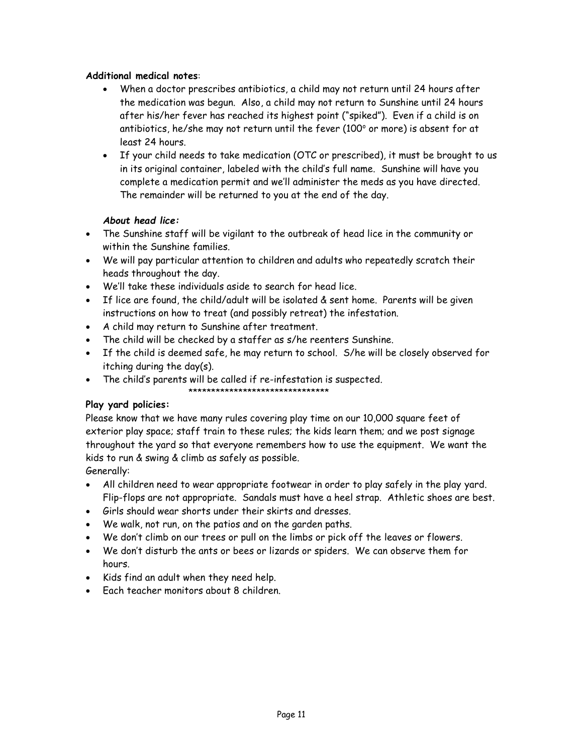# **Additional medical notes**:

- When a doctor prescribes antibiotics, a child may not return until 24 hours after the medication was begun. Also, a child may not return to Sunshine until 24 hours after his/her fever has reached its highest point ("spiked"). Even if a child is on antibiotics, he/she may not return until the fever (100 $^{\circ}$  or more) is absent for at least 24 hours.
- If your child needs to take medication (OTC or prescribed), it must be brought to us in its original container, labeled with the child's full name. Sunshine will have you complete a medication permit and we'll administer the meds as you have directed. The remainder will be returned to you at the end of the day.

# *About head lice:*

- The Sunshine staff will be vigilant to the outbreak of head lice in the community or within the Sunshine families.
- We will pay particular attention to children and adults who repeatedly scratch their heads throughout the day.
- We'll take these individuals aside to search for head lice.
- If lice are found, the child/adult will be isolated & sent home. Parents will be given instructions on how to treat (and possibly retreat) the infestation.
- A child may return to Sunshine after treatment.
- The child will be checked by a staffer as s/he reenters Sunshine.
- If the child is deemed safe, he may return to school. S/he will be closely observed for itching during the day(s).
- The child's parents will be called if re-infestation is suspected.
	- \*\*\*\*\*\*\*\*\*\*\*\*\*\*\*\*\*\*\*\*\*\*\*\*\*\*\*\*\*\*\*

### **Play yard policies:**

Please know that we have many rules covering play time on our 10,000 square feet of exterior play space; staff train to these rules; the kids learn them; and we post signage throughout the yard so that everyone remembers how to use the equipment. We want the kids to run & swing & climb as safely as possible.

Generally:

- All children need to wear appropriate footwear in order to play safely in the play yard. Flip-flops are not appropriate. Sandals must have a heel strap. Athletic shoes are best.
- Girls should wear shorts under their skirts and dresses.
- We walk, not run, on the patios and on the garden paths.
- We don't climb on our trees or pull on the limbs or pick off the leaves or flowers.
- We don't disturb the ants or bees or lizards or spiders. We can observe them for hours.
- Kids find an adult when they need help.
- Each teacher monitors about 8 children.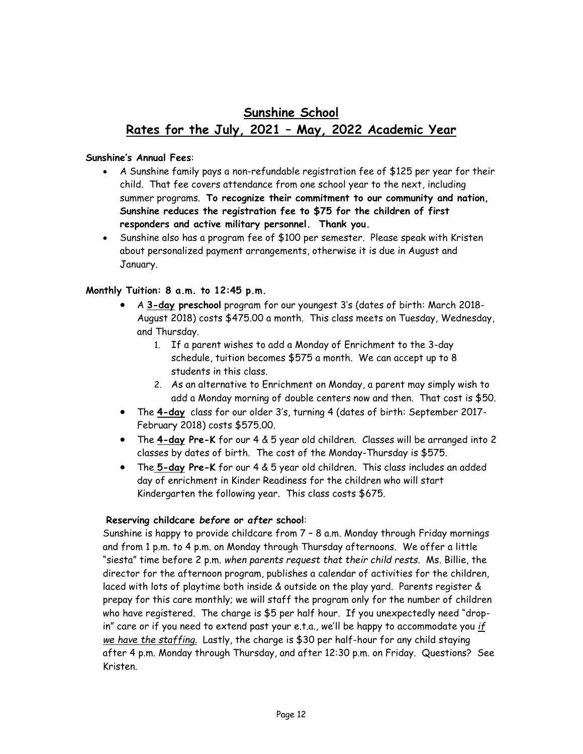# **Sunshine School Rates for the July, 2021 – May, 2022 Academic Year**

### **Sunshine's Annual Fees**:

- A Sunshine family pays a non-refundable registration fee of \$125 per year for their child. That fee covers attendance from one school year to the next, including summer programs. **To recognize their commitment to our community and nation, Sunshine reduces the registration fee to \$75 for the children of first responders and active military personnel. Thank you.**
- Sunshine also has a program fee of \$100 per semester. Please speak with Kristen about personalized payment arrangements, otherwise it is due in August and January.

# **Monthly Tuition: 8 a.m. to 12:45 p.m.**

- A **3-day preschool** program for our youngest 3's (dates of birth: March 2018- August 2018) costs \$475.00 a month. This class meets on Tuesday, Wednesday, and Thursday.
	- 1. If a parent wishes to add a Monday of Enrichment to the 3-day schedule, tuition becomes \$575 a month. We can accept up to 8 students in this class.
	- 2. As an alternative to Enrichment on Monday, a parent may simply wish to add a Monday morning of double centers now and then. That cost is \$50.
- The **4-day** class for our older 3's, turning 4 (dates of birth: September 2017- February 2018) costs \$575.00.
- The **4-day Pre-K** for our 4 & 5 year old children. Classes will be arranged into 2 classes by dates of birth. The cost of the Monday-Thursday is \$575.
- The **5-day Pre-K** for our 4 & 5 year old children. This class includes an added day of enrichment in Kinder Readiness for the children who will start Kindergarten the following year. This class costs \$675.

### **Reserving childcare** *before* **or** *after* **school**:

Sunshine is happy to provide childcare from 7 – 8 a.m. Monday through Friday mornings and from 1 p.m. to 4 p.m. on Monday through Thursday afternoons. We offer a little "siesta" time before 2 p.m. *when parents request that their child rests*. Ms. Billie, the director for the afternoon program, publishes a calendar of activities for the children, laced with lots of playtime both inside & outside on the play yard. Parents register & prepay for this care monthly; we will staff the program only for the number of children who have registered. The charge is \$5 per half hour. If you unexpectedly need "dropin" care or if you need to extend past your e.t.a., we'll be happy to accommodate you *if we have the staffing.* Lastly, the charge is \$30 per half-hour for any child staying after 4 p.m. Monday through Thursday, and after 12:30 p.m. on Friday. Questions? See Kristen.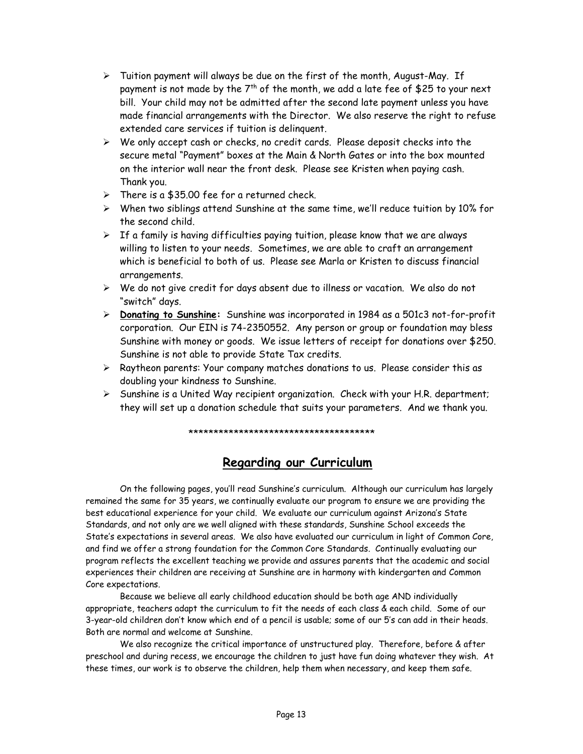- $\triangleright$  Tuition payment will always be due on the first of the month, August-May. If payment is not made by the  $7<sup>th</sup>$  of the month, we add a late fee of \$25 to your next bill. Your child may not be admitted after the second late payment unless you have made financial arrangements with the Director. We also reserve the right to refuse extended care services if tuition is delinquent.
- $\triangleright$  We only accept cash or checks, no credit cards. Please deposit checks into the secure metal "Payment" boxes at the Main & North Gates or into the box mounted on the interior wall near the front desk. Please see Kristen when paying cash. Thank you.
- ➢ There is a \$35.00 fee for a returned check.
- ➢ When two siblings attend Sunshine at the same time, we'll reduce tuition by 10% for the second child.
- $\triangleright$  If a family is having difficulties paying tuition, please know that we are always willing to listen to your needs. Sometimes, we are able to craft an arrangement which is beneficial to both of us. Please see Marla or Kristen to discuss financial arrangements.
- ➢ We do not give credit for days absent due to illness or vacation. We also do not "switch" days.
- ➢ **Donating to Sunshine:** Sunshine was incorporated in 1984 as a 501c3 not-for-profit corporation. Our EIN is 74-2350552. Any person or group or foundation may bless Sunshine with money or goods. We issue letters of receipt for donations over \$250. Sunshine is not able to provide State Tax credits.
- $\triangleright$  Raytheon parents: Your company matches donations to us. Please consider this as doubling your kindness to Sunshine.
- $\triangleright$  Sunshine is a United Way recipient organization. Check with your H.R. department; they will set up a donation schedule that suits your parameters. And we thank you.

#### \*\*\*\*\*\*\*\*\*\*\*\*\*\*\*\*\*\*\*\*\*\*\*\*\*\*\*\*\*\*\*\*\*\*\*\*\*

# **Regarding our Curriculum**

<span id="page-12-0"></span>On the following pages, you'll read Sunshine's curriculum. Although our curriculum has largely remained the same for 35 years, we continually evaluate our program to ensure we are providing the best educational experience for your child. We evaluate our curriculum against Arizona's State Standards, and not only are we well aligned with these standards, Sunshine School exceeds the State's expectations in several areas. We also have evaluated our curriculum in light of Common Core, and find we offer a strong foundation for the Common Core Standards. Continually evaluating our program reflects the excellent teaching we provide and assures parents that the academic and social experiences their children are receiving at Sunshine are in harmony with kindergarten and Common Core expectations.

Because we believe all early childhood education should be both age AND individually appropriate, teachers adapt the curriculum to fit the needs of each class & each child. Some of our 3-year-old children don't know which end of a pencil is usable; some of our 5's can add in their heads. Both are normal and welcome at Sunshine.

We also recognize the critical importance of unstructured play. Therefore, before & after preschool and during recess, we encourage the children to just have fun doing whatever they wish. At these times, our work is to observe the children, help them when necessary, and keep them safe.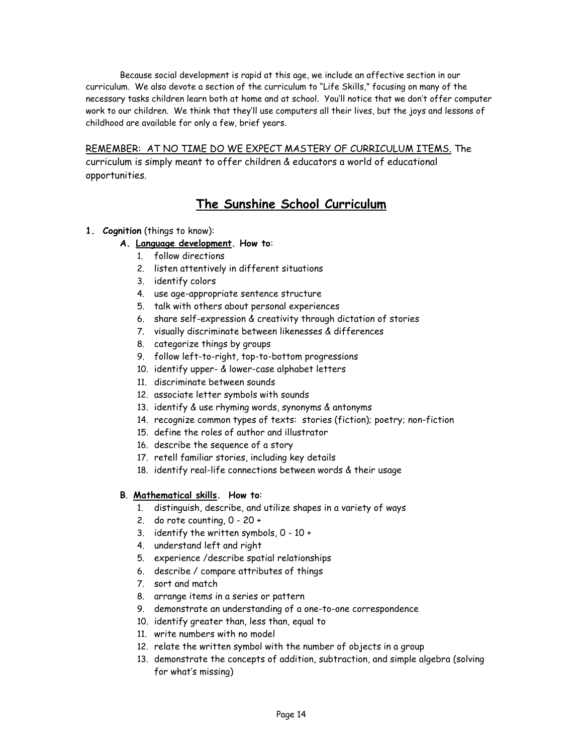Because social development is rapid at this age, we include an affective section in our curriculum. We also devote a section of the curriculum to "Life Skills," focusing on many of the necessary tasks children learn both at home and at school. You'll notice that we don't offer computer work to our children. We think that they'll use computers all their lives, but the joys and lessons of childhood are available for only a few, brief years.

REMEMBER: AT NO TIME DO WE EXPECT MASTERY OF CURRICULUM ITEMS. The

curriculum is simply meant to offer children & educators a world of educational opportunities.

# **The Sunshine School Curriculum**

- **1. Cognition** (things to know):
	- **A. Language development. How to**:
		- 1. follow directions
		- 2. listen attentively in different situations
		- 3. identify colors
		- 4. use age-appropriate sentence structure
		- 5. talk with others about personal experiences
		- 6. share self-expression & creativity through dictation of stories
		- 7. visually discriminate between likenesses & differences
		- 8. categorize things by groups
		- 9. follow left-to-right, top-to-bottom progressions
		- 10. identify upper- & lower-case alphabet letters
		- 11. discriminate between sounds
		- 12. associate letter symbols with sounds
		- 13. identify & use rhyming words, synonyms & antonyms
		- 14. recognize common types of texts: stories (fiction); poetry; non-fiction
		- 15. define the roles of author and illustrator
		- 16. describe the sequence of a story
		- 17. retell familiar stories, including key details
		- 18. identify real-life connections between words & their usage

### **B**. **Mathematical skills. How to**:

- 1. distinguish, describe, and utilize shapes in a variety of ways
- 2. do rote counting, 0 20 +
- 3. identify the written symbols,  $0 10 +$
- 4. understand left and right
- 5. experience /describe spatial relationships
- 6. describe / compare attributes of things
- 7. sort and match
- 8. arrange items in a series or pattern
- 9. demonstrate an understanding of a one-to-one correspondence
- 10. identify greater than, less than, equal to
- 11. write numbers with no model
- 12. relate the written symbol with the number of objects in a group
- 13. demonstrate the concepts of addition, subtraction, and simple algebra (solving for what's missing)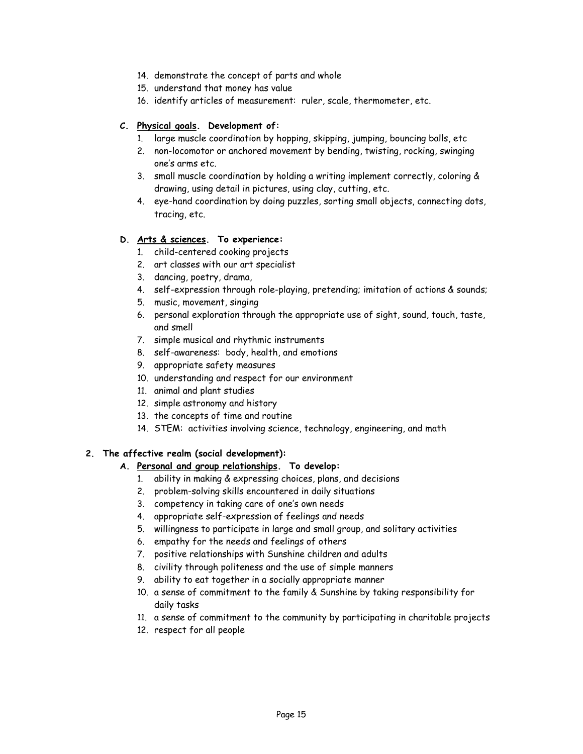- 14. demonstrate the concept of parts and whole
- 15. understand that money has value
- 16. identify articles of measurement: ruler, scale, thermometer, etc.

#### **C. Physical goals. Development of:**

- 1. large muscle coordination by hopping, skipping, jumping, bouncing balls, etc
- 2. non-locomotor or anchored movement by bending, twisting, rocking, swinging one's arms etc.
- 3. small muscle coordination by holding a writing implement correctly, coloring & drawing, using detail in pictures, using clay, cutting, etc.
- 4. eye-hand coordination by doing puzzles, sorting small objects, connecting dots, tracing, etc.

#### **D. Arts & sciences. To experience:**

- 1. child-centered cooking projects
- 2. art classes with our art specialist
- 3. dancing, poetry, drama,
- 4. self-expression through role-playing, pretending; imitation of actions & sounds;
- 5. music, movement, singing
- 6. personal exploration through the appropriate use of sight, sound, touch, taste, and smell
- 7. simple musical and rhythmic instruments
- 8. self-awareness: body, health, and emotions
- 9. appropriate safety measures
- 10. understanding and respect for our environment
- 11. animal and plant studies
- 12. simple astronomy and history
- 13. the concepts of time and routine
- 14. STEM: activities involving science, technology, engineering, and math

### **2. The affective realm (social development):**

#### **A. Personal and group relationships. To develop:**

- 1. ability in making & expressing choices, plans, and decisions
- 2. problem-solving skills encountered in daily situations
- 3. competency in taking care of one's own needs
- 4. appropriate self-expression of feelings and needs
- 5. willingness to participate in large and small group, and solitary activities
- 6. empathy for the needs and feelings of others
- 7. positive relationships with Sunshine children and adults
- 8. civility through politeness and the use of simple manners
- 9. ability to eat together in a socially appropriate manner
- 10. a sense of commitment to the family & Sunshine by taking responsibility for daily tasks
- 11. a sense of commitment to the community by participating in charitable projects
- 12. respect for all people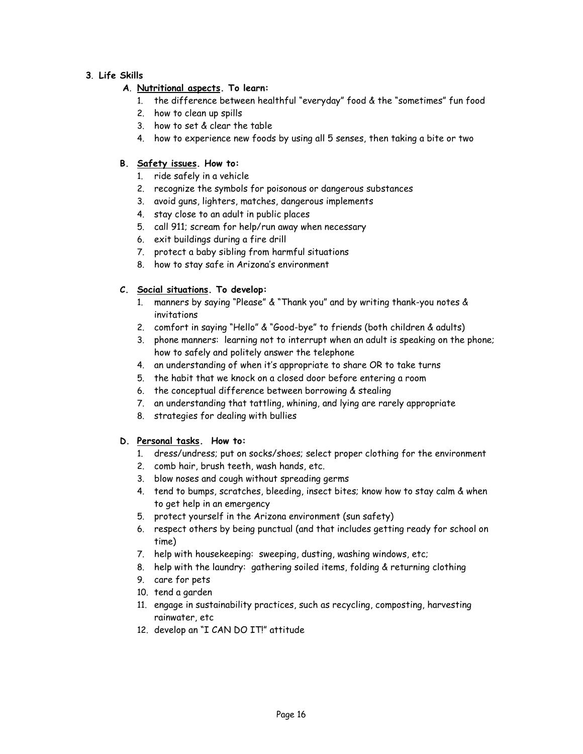### **3**. **Life Skills**

# **A**. **Nutritional aspects. To learn:**

- 1. the difference between healthful "everyday" food & the "sometimes" fun food
- 2. how to clean up spills
- 3. how to set & clear the table
- 4. how to experience new foods by using all 5 senses, then taking a bite or two

### **B. Safety issues. How to:**

- 1. ride safely in a vehicle
- 2. recognize the symbols for poisonous or dangerous substances
- 3. avoid guns, lighters, matches, dangerous implements
- 4. stay close to an adult in public places
- 5. call 911; scream for help/run away when necessary
- 6. exit buildings during a fire drill
- 7. protect a baby sibling from harmful situations
- 8. how to stay safe in Arizona's environment

### **C. Social situations. To develop:**

- 1. manners by saying "Please" & "Thank you" and by writing thank-you notes & invitations
- 2. comfort in saying "Hello" & "Good-bye" to friends (both children & adults)
- 3. phone manners: learning not to interrupt when an adult is speaking on the phone; how to safely and politely answer the telephone
- 4. an understanding of when it's appropriate to share OR to take turns
- 5. the habit that we knock on a closed door before entering a room
- 6. the conceptual difference between borrowing & stealing
- 7. an understanding that tattling, whining, and lying are rarely appropriate
- 8. strategies for dealing with bullies

### **D. Personal tasks. How to:**

- 1. dress/undress; put on socks/shoes; select proper clothing for the environment
- 2. comb hair, brush teeth, wash hands, etc.
- 3. blow noses and cough without spreading germs
- 4. tend to bumps, scratches, bleeding, insect bites; know how to stay calm & when to get help in an emergency
- 5. protect yourself in the Arizona environment (sun safety)
- 6. respect others by being punctual (and that includes getting ready for school on time)
- 7. help with housekeeping: sweeping, dusting, washing windows, etc;
- 8. help with the laundry: gathering soiled items, folding & returning clothing
- 9. care for pets
- 10. tend a garden
- 11. engage in sustainability practices, such as recycling, composting, harvesting rainwater, etc
- <span id="page-15-0"></span>12. develop an "I CAN DO IT!" attitude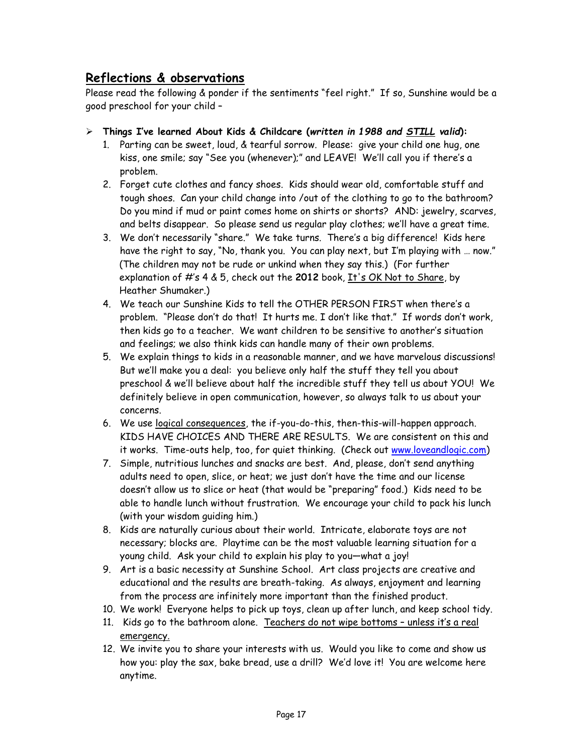# **Reflections & observations**

Please read the following & ponder if the sentiments "feel right." If so, Sunshine would be a good preschool for your child –

- ➢ **Things I've learned About Kids & Childcare (***written in 1988 and STILL valid***):**
	- 1. Parting can be sweet, loud, & tearful sorrow. Please: give your child one hug, one kiss, one smile; say "See you (whenever);" and LEAVE! We'll call you if there's a problem.
	- 2. Forget cute clothes and fancy shoes. Kids should wear old, comfortable stuff and tough shoes. Can your child change into /out of the clothing to go to the bathroom? Do you mind if mud or paint comes home on shirts or shorts? AND: jewelry, scarves, and belts disappear. So please send us regular play clothes; we'll have a great time.
	- 3. We don't necessarily "share." We take turns. There's a big difference! Kids here have the right to say, "No, thank you. You can play next, but I'm playing with … now." (The children may not be rude or unkind when they say this.) (For further explanation of #'s 4 & 5, check out the **2012** book, It's OK Not to Share, by Heather Shumaker.)
	- 4. We teach our Sunshine Kids to tell the OTHER PERSON FIRST when there's a problem. "Please don't do that! It hurts me. I don't like that." If words don't work, then kids go to a teacher. We want children to be sensitive to another's situation and feelings; we also think kids can handle many of their own problems.
	- 5. We explain things to kids in a reasonable manner, and we have marvelous discussions! But we'll make you a deal: you believe only half the stuff they tell you about preschool & we'll believe about half the incredible stuff they tell us about YOU! We definitely believe in open communication, however, so always talk to us about your concerns.
	- 6. We use logical consequences, the if-you-do-this, then-this-will-happen approach. KIDS HAVE CHOICES AND THERE ARE RESULTS. We are consistent on this and it works. Time-outs help, too, for quiet thinking. (Check out [www.loveandlogic.com\)](http://www.loveandlogic.com/)
	- 7. Simple, nutritious lunches and snacks are best. And, please, don't send anything adults need to open, slice, or heat; we just don't have the time and our license doesn't allow us to slice or heat (that would be "preparing" food.) Kids need to be able to handle lunch without frustration. We encourage your child to pack his lunch (with your wisdom guiding him.)
	- 8. Kids are naturally curious about their world. Intricate, elaborate toys are not necessary; blocks are. Playtime can be the most valuable learning situation for a young child. Ask your child to explain his play to you—what a joy!
	- 9. Art is a basic necessity at Sunshine School. Art class projects are creative and educational and the results are breath-taking. As always, enjoyment and learning from the process are infinitely more important than the finished product.
	- 10. We work! Everyone helps to pick up toys, clean up after lunch, and keep school tidy.
	- 11. Kids go to the bathroom alone. Teachers do not wipe bottoms unless it's a real emergency.
	- 12. We invite you to share your interests with us. Would you like to come and show us how you: play the sax, bake bread, use a drill? We'd love it! You are welcome here anytime.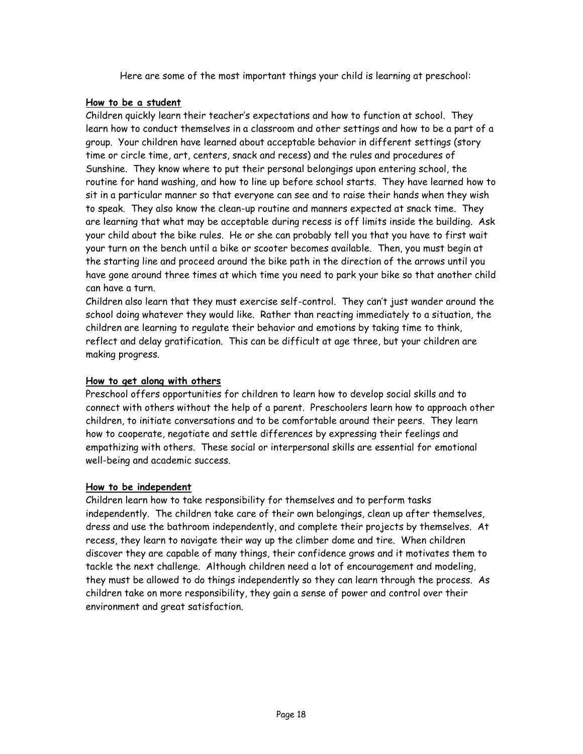Here are some of the most important things your child is learning at preschool:

### **How to be a student**

Children quickly learn their teacher's expectations and how to function at school. They learn how to conduct themselves in a classroom and other settings and how to be a part of a group. Your children have learned about acceptable behavior in different settings (story time or circle time, art, centers, snack and recess) and the rules and procedures of Sunshine. They know where to put their personal belongings upon entering school, the routine for hand washing, and how to line up before school starts. They have learned how to sit in a particular manner so that everyone can see and to raise their hands when they wish to speak. They also know the clean-up routine and manners expected at snack time. They are learning that what may be acceptable during recess is off limits inside the building. Ask your child about the bike rules. He or she can probably tell you that you have to first wait your turn on the bench until a bike or scooter becomes available. Then, you must begin at the starting line and proceed around the bike path in the direction of the arrows until you have gone around three times at which time you need to park your bike so that another child can have a turn.

Children also learn that they must exercise self-control. They can't just wander around the school doing whatever they would like. Rather than reacting immediately to a situation, the children are learning to regulate their behavior and emotions by taking time to think, reflect and delay gratification. This can be difficult at age three, but your children are making progress.

### **How to get along with others**

Preschool offers opportunities for children to learn how to develop social skills and to connect with others without the help of a parent. Preschoolers learn how to approach other children, to initiate conversations and to be comfortable around their peers. They learn how to cooperate, negotiate and settle differences by expressing their feelings and empathizing with others. These social or interpersonal skills are essential for emotional well-being and academic success.

# **How to be independent**

Children learn how to take responsibility for themselves and to perform tasks independently. The children take care of their own belongings, clean up after themselves, dress and use the bathroom independently, and complete their projects by themselves. At recess, they learn to navigate their way up the climber dome and tire. When children discover they are capable of many things, their confidence grows and it motivates them to tackle the next challenge. Although children need a lot of encouragement and modeling, they must be allowed to do things independently so they can learn through the process. As children take on more responsibility, they gain a sense of power and control over their environment and great satisfaction.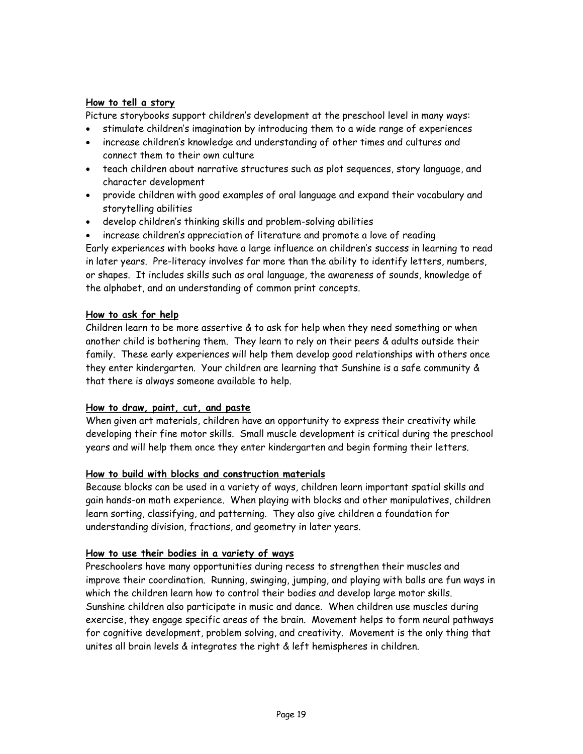### **How to tell a story**

Picture storybooks support children's development at the preschool level in many ways:

- stimulate children's imagination by introducing them to a wide range of experiences
- increase children's knowledge and understanding of other times and cultures and connect them to their own culture
- teach children about narrative structures such as plot sequences, story language, and character development
- provide children with good examples of oral language and expand their vocabulary and storytelling abilities
- develop children's thinking skills and problem-solving abilities

• increase children's appreciation of literature and promote a love of reading Early experiences with books have a large influence on children's success in learning to read in later years. Pre-literacy involves far more than the ability to identify letters, numbers, or shapes. It includes skills such as oral language, the awareness of sounds, knowledge of the alphabet, and an understanding of common print concepts.

# **How to ask for help**

Children learn to be more assertive & to ask for help when they need something or when another child is bothering them. They learn to rely on their peers & adults outside their family. These early experiences will help them develop good relationships with others once they enter kindergarten. Your children are learning that Sunshine is a safe community & that there is always someone available to help.

# **How to draw, paint, cut, and paste**

When given art materials, children have an opportunity to express their creativity while developing their fine motor skills. Small muscle development is critical during the preschool years and will help them once they enter kindergarten and begin forming their letters.

# **How to build with blocks and construction materials**

Because blocks can be used in a variety of ways, children learn important spatial skills and gain hands-on math experience. When playing with blocks and other manipulatives, children learn sorting, classifying, and patterning. They also give children a foundation for understanding division, fractions, and geometry in later years.

# **How to use their bodies in a variety of ways**

Preschoolers have many opportunities during recess to strengthen their muscles and improve their coordination. Running, swinging, jumping, and playing with balls are fun ways in which the children learn how to control their bodies and develop large motor skills. Sunshine children also participate in music and dance. When children use muscles during exercise, they engage specific areas of the brain. Movement helps to form neural pathways for cognitive development, problem solving, and creativity. Movement is the only thing that unites all brain levels & integrates the right & left hemispheres in children.